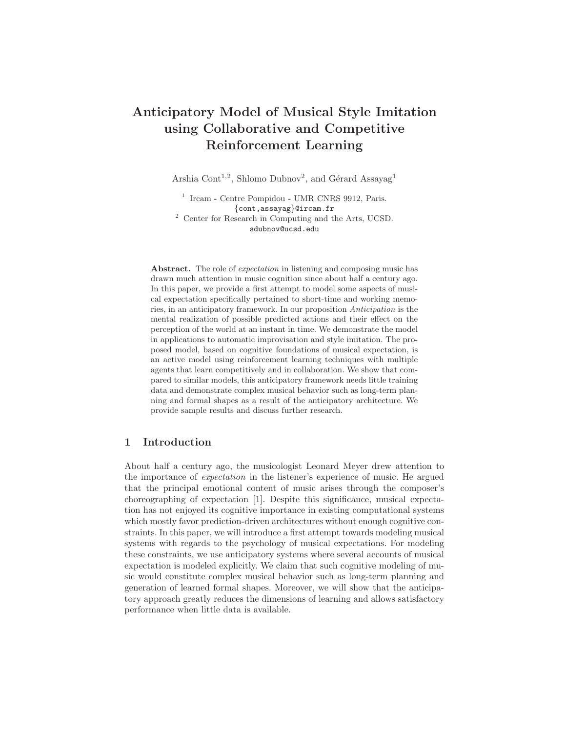# **Anticipatory Model of Musical Style Imitation using Collaborative and Competitive Reinforcement Learning**

Arshia Cont<sup>1,2</sup>, Shlomo Dubnov<sup>2</sup>, and Gérard Assayag<sup>1</sup>

<sup>1</sup> Ircam - Centre Pompidou - UMR CNRS 9912, Paris. *{*cont,assayag*}*@ircam.fr <sup>2</sup> Center for Research in Computing and the Arts, UCSD. sdubnov@ucsd.edu

**Abstract.** The role of expectation in listening and composing music has drawn much attention in music cognition since about half a century ago. In this paper, we provide a first attempt to model some aspects of musical expectation specifically pertained to short-time and working memories, in an anticipatory framework. In our proposition Anticipation is the mental realization of possible predicted actions and their effect on the perception of the world at an instant in time. We demonstrate the model in applications to automatic improvisation and style imitation. The proposed model, based on cognitive foundations of musical expectation, is an active model using reinforcement learning techniques with multiple agents that learn competitively and in collaboration. We show that compared to similar models, this anticipatory framework needs little training data and demonstrate complex musical behavior such as long-term planning and formal shapes as a result of the anticipatory architecture. We provide sample results and discuss further research.

# **1 Introduction**

About half a century ago, the musicologist Leonard Meyer drew attention to the importance of *expectation* in the listener's experience of music. He argued that the principal emotional content of music arises through the composer's choreographing of expectation [1]. Despite this significance, musical expectation has not enjoyed its cognitive importance in existing computational systems which mostly favor prediction-driven architectures without enough cognitive constraints. In this paper, we will introduce a first attempt towards modeling musical systems with regards to the psychology of musical expectations. For modeling these constraints, we use anticipatory systems where several accounts of musical expectation is modeled explicitly. We claim that such cognitive modeling of music would constitute complex musical behavior such as long-term planning and generation of learned formal shapes. Moreover, we will show that the anticipatory approach greatly reduces the dimensions of learning and allows satisfactory performance when little data is available.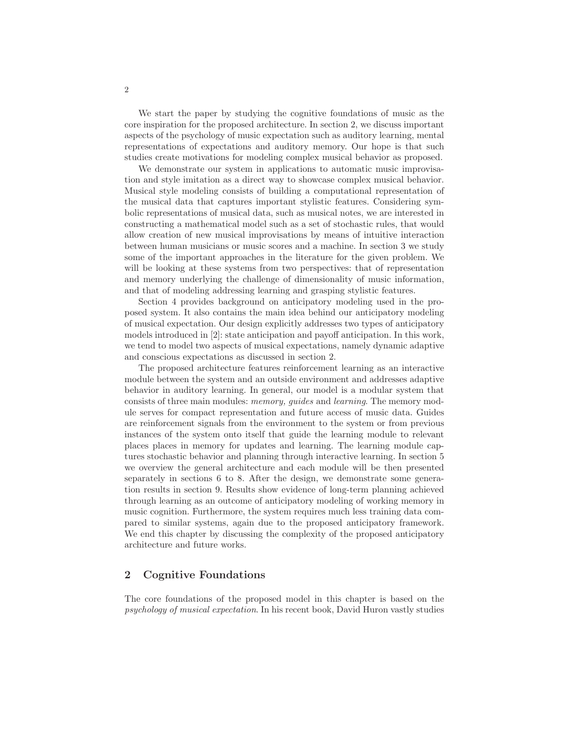We start the paper by studying the cognitive foundations of music as the core inspiration for the proposed architecture. In section 2, we discuss important aspects of the psychology of music expectation such as auditory learning, mental representations of expectations and auditory memory. Our hope is that such studies create motivations for modeling complex musical behavior as proposed.

We demonstrate our system in applications to automatic music improvisation and style imitation as a direct way to showcase complex musical behavior. Musical style modeling consists of building a computational representation of the musical data that captures important stylistic features. Considering symbolic representations of musical data, such as musical notes, we are interested in constructing a mathematical model such as a set of stochastic rules, that would allow creation of new musical improvisations by means of intuitive interaction between human musicians or music scores and a machine. In section 3 we study some of the important approaches in the literature for the given problem. We will be looking at these systems from two perspectives: that of representation and memory underlying the challenge of dimensionality of music information, and that of modeling addressing learning and grasping stylistic features.

Section 4 provides background on anticipatory modeling used in the proposed system. It also contains the main idea behind our anticipatory modeling of musical expectation. Our design explicitly addresses two types of anticipatory models introduced in [2]: state anticipation and payoff anticipation. In this work, we tend to model two aspects of musical expectations, namely dynamic adaptive and conscious expectations as discussed in section 2.

The proposed architecture features reinforcement learning as an interactive module between the system and an outside environment and addresses adaptive behavior in auditory learning. In general, our model is a modular system that consists of three main modules: *memory, guides* and *learning*. The memory module serves for compact representation and future access of music data. Guides are reinforcement signals from the environment to the system or from previous instances of the system onto itself that guide the learning module to relevant places places in memory for updates and learning. The learning module captures stochastic behavior and planning through interactive learning. In section 5 we overview the general architecture and each module will be then presented separately in sections 6 to 8. After the design, we demonstrate some generation results in section 9. Results show evidence of long-term planning achieved through learning as an outcome of anticipatory modeling of working memory in music cognition. Furthermore, the system requires much less training data compared to similar systems, again due to the proposed anticipatory framework. We end this chapter by discussing the complexity of the proposed anticipatory architecture and future works.

# **2 Cognitive Foundations**

The core foundations of the proposed model in this chapter is based on the *psychology of musical expectation*. In his recent book, David Huron vastly studies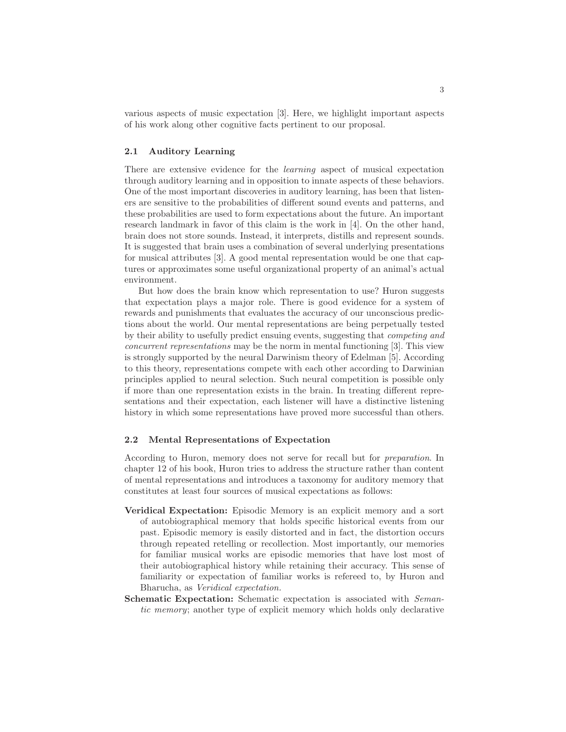various aspects of music expectation [3]. Here, we highlight important aspects of his work along other cognitive facts pertinent to our proposal.

## **2.1 Auditory Learning**

There are extensive evidence for the *learning* aspect of musical expectation through auditory learning and in opposition to innate aspects of these behaviors. One of the most important discoveries in auditory learning, has been that listeners are sensitive to the probabilities of different sound events and patterns, and these probabilities are used to form expectations about the future. An important research landmark in favor of this claim is the work in [4]. On the other hand, brain does not store sounds. Instead, it interprets, distills and represent sounds. It is suggested that brain uses a combination of several underlying presentations for musical attributes [3]. A good mental representation would be one that captures or approximates some useful organizational property of an animal's actual environment.

But how does the brain know which representation to use? Huron suggests that expectation plays a major role. There is good evidence for a system of rewards and punishments that evaluates the accuracy of our unconscious predictions about the world. Our mental representations are being perpetually tested by their ability to usefully predict ensuing events, suggesting that *competing and concurrent representations* may be the norm in mental functioning [3]. This view is strongly supported by the neural Darwinism theory of Edelman [5]. According to this theory, representations compete with each other according to Darwinian principles applied to neural selection. Such neural competition is possible only if more than one representation exists in the brain. In treating different representations and their expectation, each listener will have a distinctive listening history in which some representations have proved more successful than others.

#### **2.2 Mental Representations of Expectation**

According to Huron, memory does not serve for recall but for *preparation*. In chapter 12 of his book, Huron tries to address the structure rather than content of mental representations and introduces a taxonomy for auditory memory that constitutes at least four sources of musical expectations as follows:

- **Veridical Expectation:** Episodic Memory is an explicit memory and a sort of autobiographical memory that holds specific historical events from our past. Episodic memory is easily distorted and in fact, the distortion occurs through repeated retelling or recollection. Most importantly, our memories for familiar musical works are episodic memories that have lost most of their autobiographical history while retaining their accuracy. This sense of familiarity or expectation of familiar works is refereed to, by Huron and Bharucha, as *Veridical expectation.*
- **Schematic Expectation:** Schematic expectation is associated with *Semantic memory*; another type of explicit memory which holds only declarative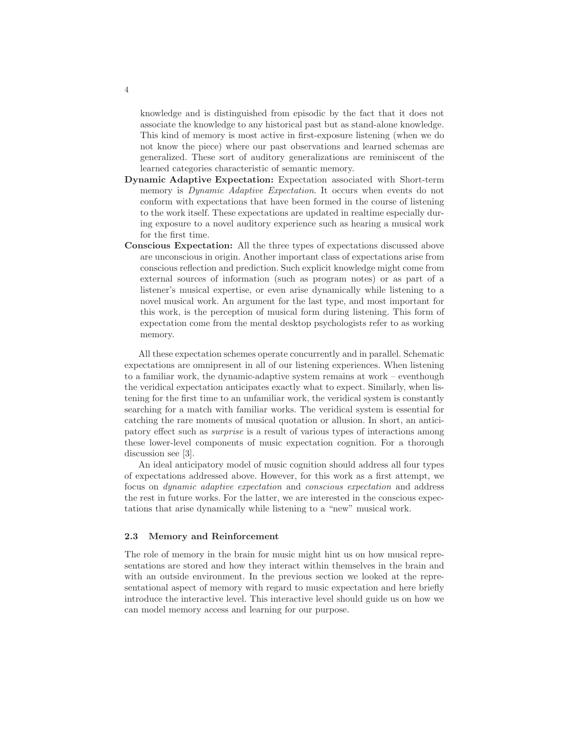knowledge and is distinguished from episodic by the fact that it does not associate the knowledge to any historical past but as stand-alone knowledge. This kind of memory is most active in first-exposure listening (when we do not know the piece) where our past observations and learned schemas are generalized. These sort of auditory generalizations are reminiscent of the learned categories characteristic of semantic memory.

- **Dynamic Adaptive Expectation:** Expectation associated with Short-term memory is *Dynamic Adaptive Expectation*. It occurs when events do not conform with expectations that have been formed in the course of listening to the work itself. These expectations are updated in realtime especially during exposure to a novel auditory experience such as hearing a musical work for the first time.
- **Conscious Expectation:** All the three types of expectations discussed above are unconscious in origin. Another important class of expectations arise from conscious reflection and prediction. Such explicit knowledge might come from external sources of information (such as program notes) or as part of a listener's musical expertise, or even arise dynamically while listening to a novel musical work. An argument for the last type, and most important for this work, is the perception of musical form during listening. This form of expectation come from the mental desktop psychologists refer to as working memory.

All these expectation schemes operate concurrently and in parallel. Schematic expectations are omnipresent in all of our listening experiences. When listening to a familiar work, the dynamic-adaptive system remains at work – eventhough the veridical expectation anticipates exactly what to expect. Similarly, when listening for the first time to an unfamiliar work, the veridical system is constantly searching for a match with familiar works. The veridical system is essential for catching the rare moments of musical quotation or allusion. In short, an anticipatory effect such as *surprise* is a result of various types of interactions among these lower-level components of music expectation cognition. For a thorough discussion see [3].

An ideal anticipatory model of music cognition should address all four types of expectations addressed above. However, for this work as a first attempt, we focus on *dynamic adaptive expectation* and *conscious expectation* and address the rest in future works. For the latter, we are interested in the conscious expectations that arise dynamically while listening to a "new" musical work.

#### **2.3 Memory and Reinforcement**

The role of memory in the brain for music might hint us on how musical representations are stored and how they interact within themselves in the brain and with an outside environment. In the previous section we looked at the representational aspect of memory with regard to music expectation and here briefly introduce the interactive level. This interactive level should guide us on how we can model memory access and learning for our purpose.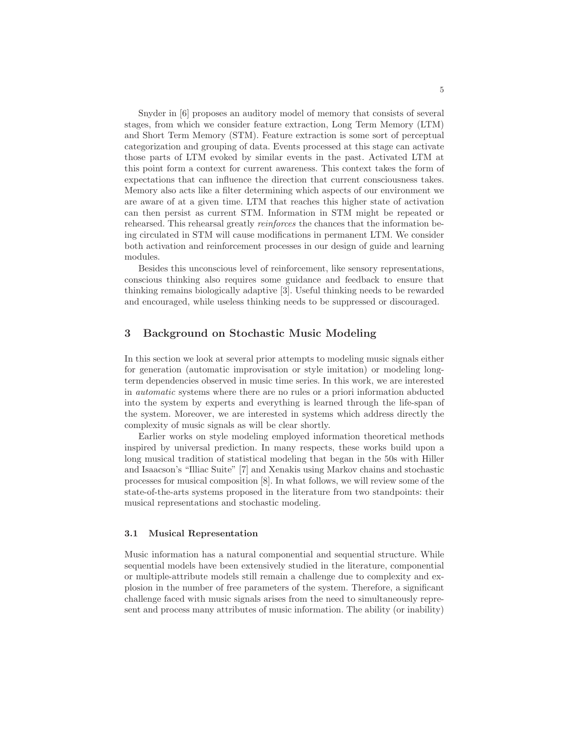Snyder in [6] proposes an auditory model of memory that consists of several stages, from which we consider feature extraction, Long Term Memory (LTM) and Short Term Memory (STM). Feature extraction is some sort of perceptual categorization and grouping of data. Events processed at this stage can activate those parts of LTM evoked by similar events in the past. Activated LTM at this point form a context for current awareness. This context takes the form of expectations that can influence the direction that current consciousness takes. Memory also acts like a filter determining which aspects of our environment we are aware of at a given time. LTM that reaches this higher state of activation can then persist as current STM. Information in STM might be repeated or rehearsed. This rehearsal greatly *reinforces* the chances that the information being circulated in STM will cause modifications in permanent LTM. We consider both activation and reinforcement processes in our design of guide and learning modules.

Besides this unconscious level of reinforcement, like sensory representations, conscious thinking also requires some guidance and feedback to ensure that thinking remains biologically adaptive [3]. Useful thinking needs to be rewarded and encouraged, while useless thinking needs to be suppressed or discouraged.

## **3 Background on Stochastic Music Modeling**

In this section we look at several prior attempts to modeling music signals either for generation (automatic improvisation or style imitation) or modeling longterm dependencies observed in music time series. In this work, we are interested in *automatic* systems where there are no rules or a priori information abducted into the system by experts and everything is learned through the life-span of the system. Moreover, we are interested in systems which address directly the complexity of music signals as will be clear shortly.

Earlier works on style modeling employed information theoretical methods inspired by universal prediction. In many respects, these works build upon a long musical tradition of statistical modeling that began in the 50s with Hiller and Isaacson's "Illiac Suite" [7] and Xenakis using Markov chains and stochastic processes for musical composition [8]. In what follows, we will review some of the state-of-the-arts systems proposed in the literature from two standpoints: their musical representations and stochastic modeling.

#### **3.1 Musical Representation**

Music information has a natural componential and sequential structure. While sequential models have been extensively studied in the literature, componential or multiple-attribute models still remain a challenge due to complexity and explosion in the number of free parameters of the system. Therefore, a significant challenge faced with music signals arises from the need to simultaneously represent and process many attributes of music information. The ability (or inability)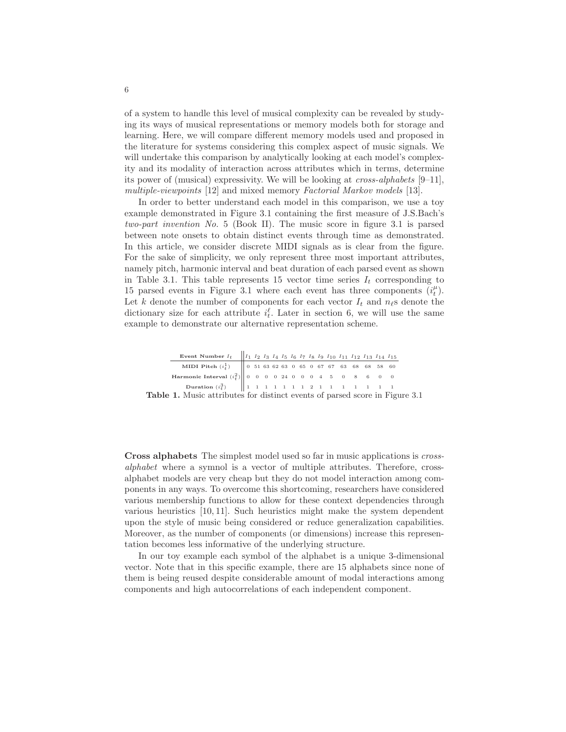of a system to handle this level of musical complexity can be revealed by studying its ways of musical representations or memory models both for storage and learning. Here, we will compare different memory models used and proposed in the literature for systems considering this complex aspect of music signals. We will undertake this comparison by analytically looking at each model's complexity and its modality of interaction across attributes which in terms, determine its power of (musical) expressivity. We will be looking at *cross-alphabets* [9–11], *multiple-viewpoints* [12] and mixed memory *Factorial Markov models* [13].

In order to better understand each model in this comparison, we use a toy example demonstrated in Figure 3.1 containing the first measure of J.S.Bach's *two-part invention No.* 5 (Book II). The music score in figure 3.1 is parsed between note onsets to obtain distinct events through time as demonstrated. In this article, we consider discrete MIDI signals as is clear from the figure. For the sake of simplicity, we only represent three most important attributes, namely pitch, harmonic interval and beat duration of each parsed event as shown in Table 3.1. This table represents 15 vector time series  $I_t$  corresponding to 15 parsed events in Figure 3.1 where each event has three components  $(i_t^{\mu})$ . Let k denote the number of components for each vector  $I_t$  and  $n_\ell s$  denote the dictionary size for each attribute  $i_t^{\ell}$ . Later in section 6, we will use the same example to demonstrate our alternative representation scheme.

| Event Number $I_t$ $  I_1 I_2 I_3 I_4 I_5 I_6 I_7 I_8 I_9 I_{10} I_{11} I_{12} I_{13} I_{14} I_{15}$                                                                                                                                           |  |  |  |  |  |  |  |  |
|------------------------------------------------------------------------------------------------------------------------------------------------------------------------------------------------------------------------------------------------|--|--|--|--|--|--|--|--|
|                                                                                                                                                                                                                                                |  |  |  |  |  |  |  |  |
| MIDI Pitch $(i_t^1)$ 0 51 63 62 63 0 65 0 67 67 63 68 68 58 60<br>Harmonic Interval $(i_t^2)$ 0 0 0 0 24 0 0 0 4 5 0 8 6 0 0<br>Duration $(i_t^3)$ 1 1 1 1 1 1 2 1 1 1 1 1 1 1 1 1 1<br><b>Table 1.</b> Music attributes for distinct events o |  |  |  |  |  |  |  |  |
|                                                                                                                                                                                                                                                |  |  |  |  |  |  |  |  |
|                                                                                                                                                                                                                                                |  |  |  |  |  |  |  |  |
|                                                                                                                                                                                                                                                |  |  |  |  |  |  |  |  |

**Cross alphabets** The simplest model used so far in music applications is *crossalphabet* where a symnol is a vector of multiple attributes. Therefore, crossalphabet models are very cheap but they do not model interaction among components in any ways. To overcome this shortcoming, researchers have considered various membership functions to allow for these context dependencies through various heuristics [10, 11]. Such heuristics might make the system dependent upon the style of music being considered or reduce generalization capabilities. Moreover, as the number of components (or dimensions) increase this representation becomes less informative of the underlying structure.

In our toy example each symbol of the alphabet is a unique 3-dimensional vector. Note that in this specific example, there are 15 alphabets since none of them is being reused despite considerable amount of modal interactions among components and high autocorrelations of each independent component.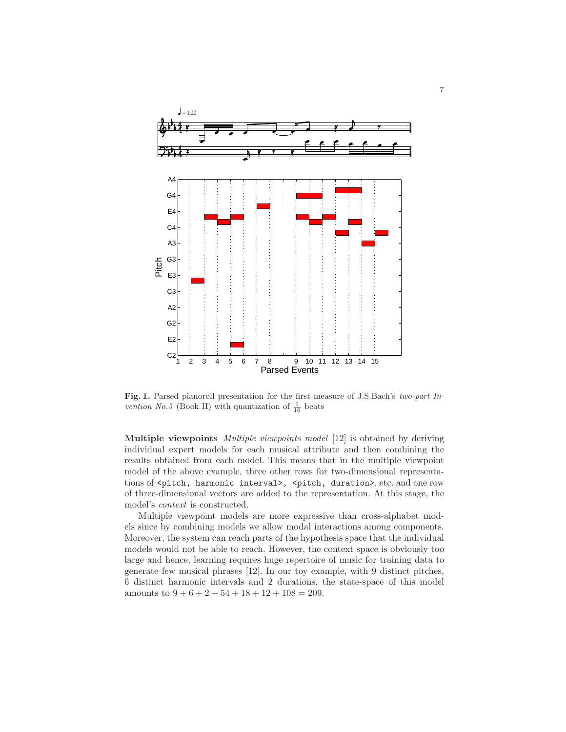

**Fig. 1.** Parsed pianoroll presentation for the first measure of J.S.Bach's two-part In*vention No.5* (Book II) with quantization of  $\frac{1}{16}$  beats

**Multiple viewpoints** *Multiple viewpoints model* [12] is obtained by deriving individual expert models for each musical attribute and then combining the results obtained from each model. This means that in the multiple viewpoint model of the above example, three other rows for two-dimensional representations of <pitch, harmonic interval>, <pitch, duration>, etc. and one row of three-dimensional vectors are added to the representation. At this stage, the model's *context* is constructed.

Multiple viewpoint models are more expressive than cross-alphabet models since by combining models we allow modal interactions among components. Moreover, the system can reach parts of the hypothesis space that the individual models would not be able to reach. However, the context space is obviously too large and hence, learning requires huge repertoire of music for training data to generate few musical phrases [12]. In our toy example, with 9 distinct pitches, 6 distinct harmonic intervals and 2 durations, the state-space of this model amounts to  $9 + 6 + 2 + 54 + 18 + 12 + 108 = 209$ .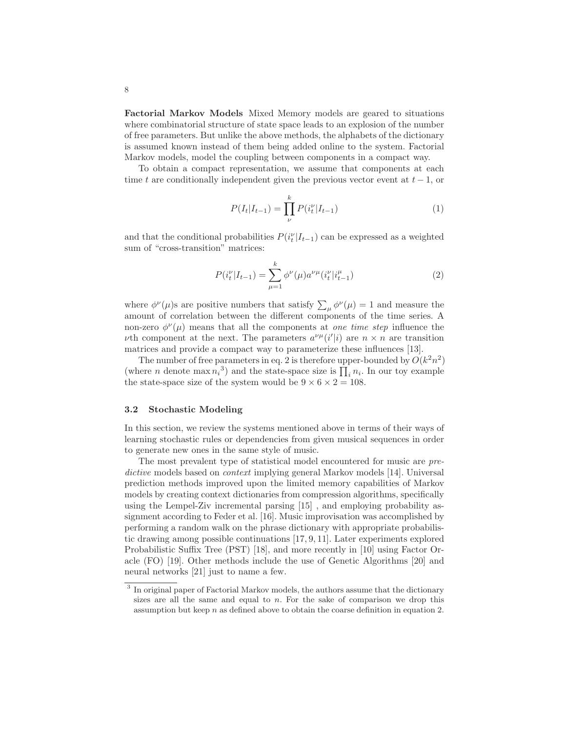**Factorial Markov Models** Mixed Memory models are geared to situations where combinatorial structure of state space leads to an explosion of the number of free parameters. But unlike the above methods, the alphabets of the dictionary is assumed known instead of them being added online to the system. Factorial Markov models, model the coupling between components in a compact way.

To obtain a compact representation, we assume that components at each time t are conditionally independent given the previous vector event at  $t-1$ , or

$$
P(I_t|I_{t-1}) = \prod_{\nu}^{k} P(i_t^{\nu}|I_{t-1})
$$
\n(1)

and that the conditional probabilities  $P(i_t^{\nu}|I_{t-1})$  can be expressed as a weighted sum of "cross-transition" matrices:

$$
P(i_t^{\nu}|I_{t-1}) = \sum_{\mu=1}^{k} \phi^{\nu}(\mu) a^{\nu\mu}(i_t^{\nu}|i_{t-1}^{\mu})
$$
\n(2)

where  $\phi^{\nu}(\mu)$ s are positive numbers that satisfy  $\sum_{\mu} \phi^{\nu}(\mu) = 1$  and measure the amount of correlation between the different components of the time series. A non-zero  $\phi^{\nu}(\mu)$  means that all the components at *one time step* influence the *v*th component at the next. The parameters  $a^{\nu\mu}(i'|i)$  are  $n \times n$  are transition matrices and provide a compact way to parameterize these influences [13].

The number of free parameters in eq. 2 is therefore upper-bounded by  $O(k^2n^2)$ (where *n* denote  $\max n_i^3$ ) and the state-space size is  $\prod_i n_i$ . In our toy example the state-space size of the system would be  $9 \times 6 \times 2 = 108$ .

#### **3.2 Stochastic Modeling**

In this section, we review the systems mentioned above in terms of their ways of learning stochastic rules or dependencies from given musical sequences in order to generate new ones in the same style of music.

The most prevalent type of statistical model encountered for music are *predictive* models based on *context* implying general Markov models [14]. Universal prediction methods improved upon the limited memory capabilities of Markov models by creating context dictionaries from compression algorithms, specifically using the Lempel-Ziv incremental parsing [15] , and employing probability assignment according to Feder et al. [16]. Music improvisation was accomplished by performing a random walk on the phrase dictionary with appropriate probabilistic drawing among possible continuations [17, 9, 11]. Later experiments explored Probabilistic Suffix Tree (PST) [18], and more recently in [10] using Factor Oracle (FO) [19]. Other methods include the use of Genetic Algorithms [20] and neural networks [21] just to name a few.

<sup>&</sup>lt;sup>3</sup> In original paper of Factorial Markov models, the authors assume that the dictionary sizes are all the same and equal to  $n$ . For the sake of comparison we drop this assumption but keep  $n$  as defined above to obtain the coarse definition in equation 2.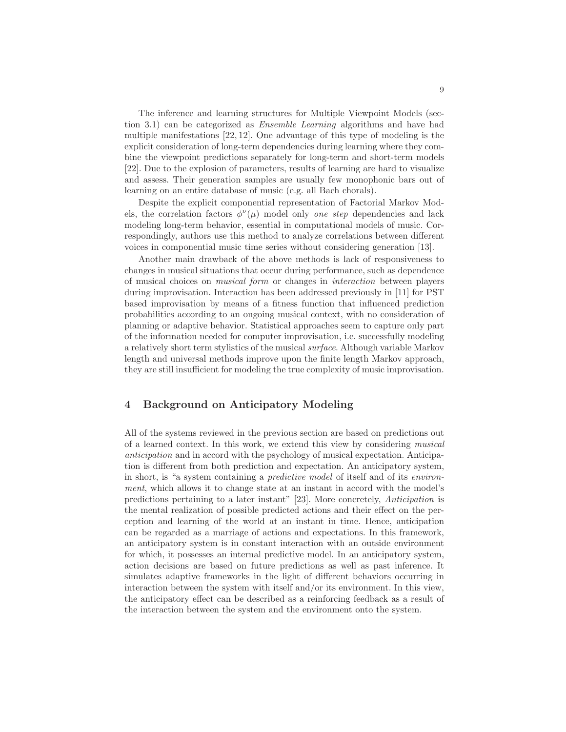The inference and learning structures for Multiple Viewpoint Models (section 3.1) can be categorized as *Ensemble Learning* algorithms and have had multiple manifestations [22, 12]. One advantage of this type of modeling is the explicit consideration of long-term dependencies during learning where they combine the viewpoint predictions separately for long-term and short-term models [22]. Due to the explosion of parameters, results of learning are hard to visualize and assess. Their generation samples are usually few monophonic bars out of learning on an entire database of music (e.g. all Bach chorals).

Despite the explicit componential representation of Factorial Markov Models, the correlation factors  $\phi^{\nu}(\mu)$  model only *one step* dependencies and lack modeling long-term behavior, essential in computational models of music. Correspondingly, authors use this method to analyze correlations between different voices in componential music time series without considering generation [13].

Another main drawback of the above methods is lack of responsiveness to changes in musical situations that occur during performance, such as dependence of musical choices on *musical form* or changes in *interaction* between players during improvisation. Interaction has been addressed previously in [11] for PST based improvisation by means of a fitness function that influenced prediction probabilities according to an ongoing musical context, with no consideration of planning or adaptive behavior. Statistical approaches seem to capture only part of the information needed for computer improvisation, i.e. successfully modeling a relatively short term stylistics of the musical *surface*. Although variable Markov length and universal methods improve upon the finite length Markov approach, they are still insufficient for modeling the true complexity of music improvisation.

# **4 Background on Anticipatory Modeling**

All of the systems reviewed in the previous section are based on predictions out of a learned context. In this work, we extend this view by considering *musical anticipation* and in accord with the psychology of musical expectation. Anticipation is different from both prediction and expectation. An anticipatory system, in short, is "a system containing a *predictive model* of itself and of its *environment*, which allows it to change state at an instant in accord with the model's predictions pertaining to a later instant" [23]. More concretely, *Anticipation* is the mental realization of possible predicted actions and their effect on the perception and learning of the world at an instant in time. Hence, anticipation can be regarded as a marriage of actions and expectations. In this framework, an anticipatory system is in constant interaction with an outside environment for which, it possesses an internal predictive model. In an anticipatory system, action decisions are based on future predictions as well as past inference. It simulates adaptive frameworks in the light of different behaviors occurring in interaction between the system with itself and/or its environment. In this view, the anticipatory effect can be described as a reinforcing feedback as a result of the interaction between the system and the environment onto the system.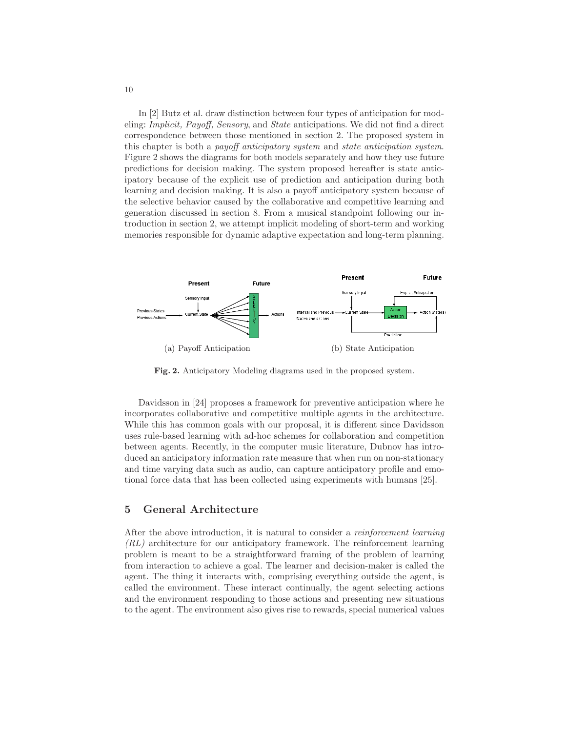In [2] Butz et al. draw distinction between four types of anticipation for modeling: *Implicit, Payoff, Sensory*, and *State* anticipations. We did not find a direct correspondence between those mentioned in section 2. The proposed system in this chapter is both a *payoff anticipatory system* and *state anticipation system*. Figure 2 shows the diagrams for both models separately and how they use future predictions for decision making. The system proposed hereafter is state anticipatory because of the explicit use of prediction and anticipation during both learning and decision making. It is also a payoff anticipatory system because of the selective behavior caused by the collaborative and competitive learning and generation discussed in section 8. From a musical standpoint following our introduction in section 2, we attempt implicit modeling of short-term and working memories responsible for dynamic adaptive expectation and long-term planning.



**Fig. 2.** Anticipatory Modeling diagrams used in the proposed system.

Davidsson in [24] proposes a framework for preventive anticipation where he incorporates collaborative and competitive multiple agents in the architecture. While this has common goals with our proposal, it is different since Davidsson uses rule-based learning with ad-hoc schemes for collaboration and competition between agents. Recently, in the computer music literature, Dubnov has introduced an anticipatory information rate measure that when run on non-stationary and time varying data such as audio, can capture anticipatory profile and emotional force data that has been collected using experiments with humans [25].

## **5 General Architecture**

After the above introduction, it is natural to consider a *reinforcement learning (RL)* architecture for our anticipatory framework. The reinforcement learning problem is meant to be a straightforward framing of the problem of learning from interaction to achieve a goal. The learner and decision-maker is called the agent. The thing it interacts with, comprising everything outside the agent, is called the environment. These interact continually, the agent selecting actions and the environment responding to those actions and presenting new situations to the agent. The environment also gives rise to rewards, special numerical values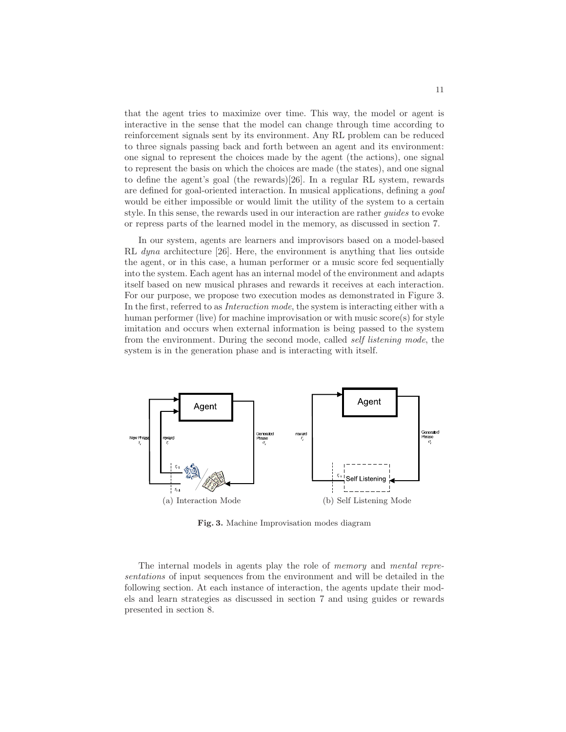that the agent tries to maximize over time. This way, the model or agent is interactive in the sense that the model can change through time according to reinforcement signals sent by its environment. Any RL problem can be reduced to three signals passing back and forth between an agent and its environment: one signal to represent the choices made by the agent (the actions), one signal to represent the basis on which the choices are made (the states), and one signal to define the agent's goal (the rewards)[26]. In a regular RL system, rewards are defined for goal-oriented interaction. In musical applications, defining a *goal* would be either impossible or would limit the utility of the system to a certain style. In this sense, the rewards used in our interaction are rather *guides* to evoke or repress parts of the learned model in the memory, as discussed in section 7.

In our system, agents are learners and improvisors based on a model-based RL *dyna* architecture [26]. Here, the environment is anything that lies outside the agent, or in this case, a human performer or a music score fed sequentially into the system. Each agent has an internal model of the environment and adapts itself based on new musical phrases and rewards it receives at each interaction. For our purpose, we propose two execution modes as demonstrated in Figure 3. In the first, referred to as *Interaction mode*, the system is interacting either with a human performer (live) for machine improvisation or with music score(s) for style imitation and occurs when external information is being passed to the system from the environment. During the second mode, called *self listening mode*, the system is in the generation phase and is interacting with itself.



**Fig. 3.** Machine Improvisation modes diagram

The internal models in agents play the role of *memory* and *mental representations* of input sequences from the environment and will be detailed in the following section. At each instance of interaction, the agents update their models and learn strategies as discussed in section 7 and using guides or rewards presented in section 8.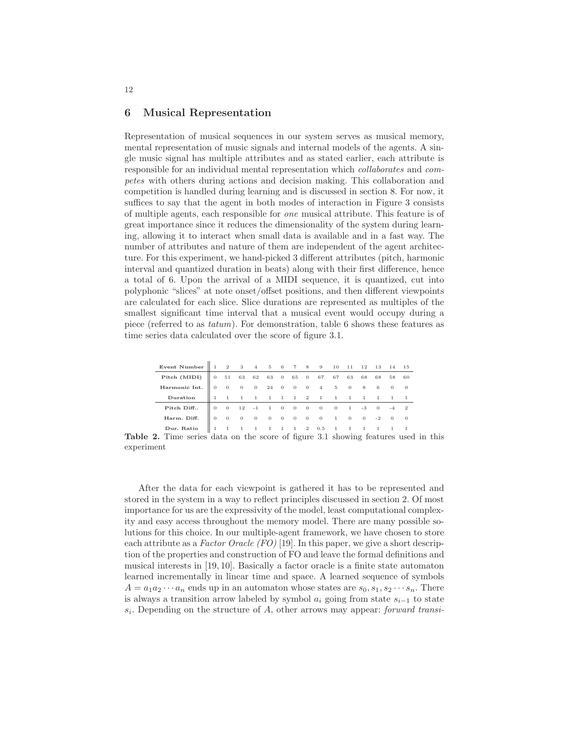## **6 Musical Representation**

Representation of musical sequences in our system serves as musical memory, mental representation of music signals and internal models of the agents. A single music signal has multiple attributes and as stated earlier, each attribute is responsible for an individual mental representation which *collaborates* and *competes* with others during actions and decision making. This collaboration and competition is handled during learning and is discussed in section 8. For now, it suffices to say that the agent in both modes of interaction in Figure 3 consists of multiple agents, each responsible for *one* musical attribute. This feature is of great importance since it reduces the dimensionality of the system during learning, allowing it to interact when small data is available and in a fast way. The number of attributes and nature of them are independent of the agent architecture. For this experiment, we hand-picked 3 different attributes (pitch, harmonic interval and quantized duration in beats) along with their first difference, hence a total of 6. Upon the arrival of a MIDI sequence, it is quantized, cut into polyphonic "slices" at note onset/offset positions, and then different viewpoints are calculated for each slice. Slice durations are represented as multiples of the smallest significant time interval that a musical event would occupy during a piece (referred to as *tatum*). For demonstration, table 6 shows these features as time series data calculated over the score of figure 3.1.

| Event Number $\begin{vmatrix} 1 & 2 & 3 & 4 & 5 & 6 & 7 & 8 & 9 & 10 & 11 & 12 & 13 & 14 & 15 \end{vmatrix}$                                   |  |  |  |  |  |  |  |  |
|------------------------------------------------------------------------------------------------------------------------------------------------|--|--|--|--|--|--|--|--|
| Pitch (MIDI) 0 51 63 62 63 0 65 0 67 67 63 68 68 58 60<br>Harmonic Int. 0 0 0 0 24 0 0 0 4 5 0 8 6 0 0<br>Duration 1 1 1 1 1 1 2 1 1 1 1 1 1 1 |  |  |  |  |  |  |  |  |
|                                                                                                                                                |  |  |  |  |  |  |  |  |
|                                                                                                                                                |  |  |  |  |  |  |  |  |
|                                                                                                                                                |  |  |  |  |  |  |  |  |
|                                                                                                                                                |  |  |  |  |  |  |  |  |
|                                                                                                                                                |  |  |  |  |  |  |  |  |

**Table 2.** Time series data on the score of figure 3.1 showing features used in this experiment

After the data for each viewpoint is gathered it has to be represented and stored in the system in a way to reflect principles discussed in section 2. Of most importance for us are the expressivity of the model, least computational complexity and easy access throughout the memory model. There are many possible solutions for this choice. In our multiple-agent framework, we have chosen to store each attribute as a *Factor Oracle (FO)* [19]. In this paper, we give a short description of the properties and construction of FO and leave the formal definitions and musical interests in [19, 10]. Basically a factor oracle is a finite state automaton learned incrementally in linear time and space. A learned sequence of symbols  $A = a_1 a_2 \cdots a_n$  ends up in an automaton whose states are  $s_0, s_1, s_2 \cdots s_n$ . There is always a transition arrow labeled by symbol  $a_i$  going from state  $s_{i-1}$  to state si. Depending on the structure of A, other arrows may appear: *forward transi-*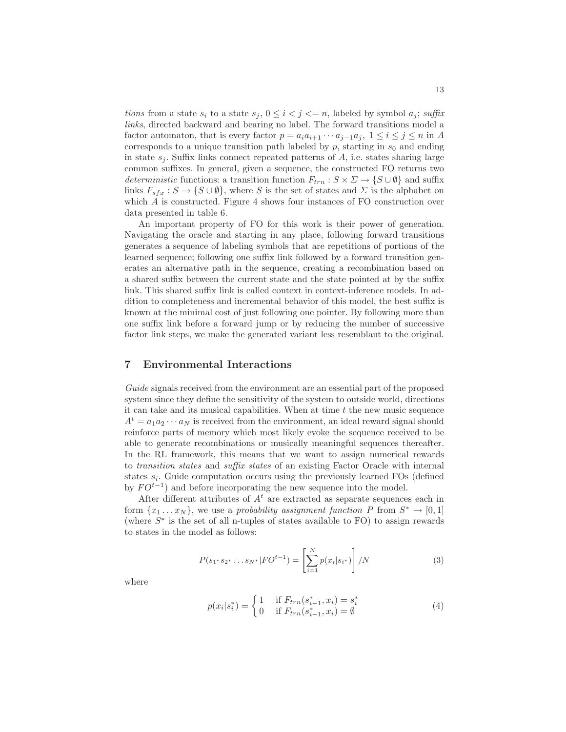*tions* from a state  $s_i$  to a state  $s_j$ ,  $0 \leq i \leq j \leq n$ , labeled by symbol  $a_j$ ; *suffix links*, directed backward and bearing no label. The forward transitions model a factor automaton, that is every factor  $p = a_i a_{i+1} \cdots a_{j-1} a_j, \ 1 \leq i \leq j \leq n$  in A corresponds to a unique transition path labeled by  $p$ , starting in  $s_0$  and ending in state  $s_i$ . Suffix links connect repeated patterns of A, i.e. states sharing large common suffixes. In general, given a sequence, the constructed FO returns two *deterministic* functions: a transition function  $F_{trn}: S \times \Sigma \rightarrow \{S \cup \emptyset\}$  and suffix links  $F_{sfx}$ :  $S \to \{S \cup \emptyset\}$ , where S is the set of states and  $\Sigma$  is the alphabet on which A is constructed. Figure 4 shows four instances of FO construction over data presented in table 6.

An important property of FO for this work is their power of generation. Navigating the oracle and starting in any place, following forward transitions generates a sequence of labeling symbols that are repetitions of portions of the learned sequence; following one suffix link followed by a forward transition generates an alternative path in the sequence, creating a recombination based on a shared suffix between the current state and the state pointed at by the suffix link. This shared suffix link is called context in context-inference models. In addition to completeness and incremental behavior of this model, the best suffix is known at the minimal cost of just following one pointer. By following more than one suffix link before a forward jump or by reducing the number of successive factor link steps, we make the generated variant less resemblant to the original.

## **7 Environmental Interactions**

*Guide* signals received from the environment are an essential part of the proposed system since they define the sensitivity of the system to outside world, directions it can take and its musical capabilities. When at time  $t$  the new music sequence  $A<sup>t</sup> = a<sub>1</sub>a<sub>2</sub> \cdots a<sub>N</sub>$  is received from the environment, an ideal reward signal should reinforce parts of memory which most likely evoke the sequence received to be able to generate recombinations or musically meaningful sequences thereafter. In the RL framework, this means that we want to assign numerical rewards to *transition states* and *suffix states* of an existing Factor Oracle with internal states  $s_i$ . Guide computation occurs using the previously learned FOs (defined by  $FO<sup>t-1</sup>$  and before incorporating the new sequence into the model.

After different attributes of  $A<sup>t</sup>$  are extracted as separate sequences each in form  $\{x_1 \dots x_N\}$ , we use a *probability assignment function* P from  $S^* \to [0,1]$ (where  $S^*$  is the set of all n-tuples of states available to FO) to assign rewards to states in the model as follows:

$$
P(s_{1} * s_{2} * \dots s_{N} * | FO^{t-1}) = \left[\sum_{i=1}^{N} p(x_i | s_{i} *)\right] / N \tag{3}
$$

where

$$
p(x_i|s_i^*) = \begin{cases} 1 & \text{if } F_{trn}(s_{i-1}^*, x_i) = s_i^* \\ 0 & \text{if } F_{trn}(s_{i-1}^*, x_i) = \emptyset \end{cases}
$$
(4)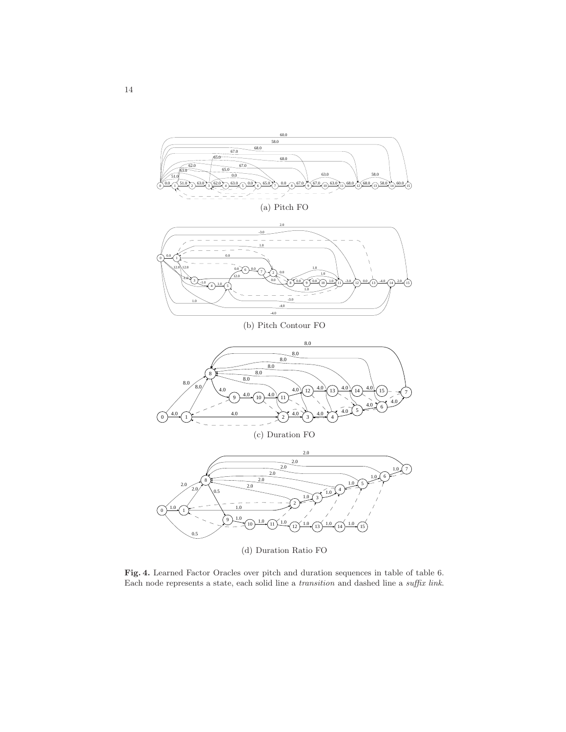

**Fig. 4.** Learned Factor Oracles over pitch and duration sequences in table of table 6. Each node represents a state, each solid line a  $\emph{transition}$  and dashed line a  $\emph{suffix link}.$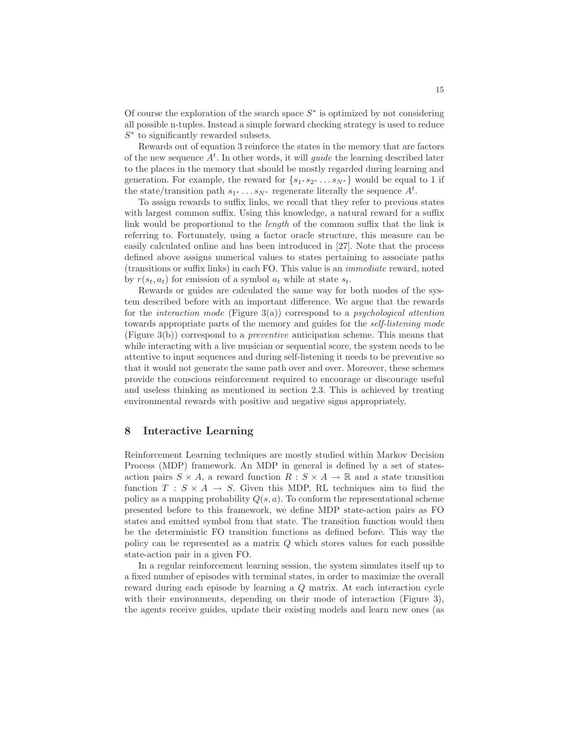Of course the exploration of the search space  $S^*$  is optimized by not considering all possible n-tuples. Instead a simple forward checking strategy is used to reduce  $S<sup>*</sup>$  to significantly rewarded subsets.

Rewards out of equation 3 reinforce the states in the memory that are factors of the new sequence  $A<sup>t</sup>$ . In other words, it will *guide* the learning described later to the places in the memory that should be mostly regarded during learning and generation. For example, the reward for  $\{s_1, s_2, \ldots, s_N, s\}$  would be equal to 1 if the state/transition path  $s_{1}$ <sup>\*</sup> ...s<sub>N</sub><sup>\*</sup> regenerate literally the sequence  $A<sup>t</sup>$ .

To assign rewards to suffix links, we recall that they refer to previous states with largest common suffix. Using this knowledge, a natural reward for a suffix link would be proportional to the *length* of the common suffix that the link is referring to. Fortunately, using a factor oracle structure, this measure can be easily calculated online and has been introduced in [27]. Note that the process defined above assigns numerical values to states pertaining to associate paths (transitions or suffix links) in each FO. This value is an *immediate* reward, noted by  $r(s_t, a_t)$  for emission of a symbol  $a_t$  while at state  $s_t$ .

Rewards or guides are calculated the same way for both modes of the system described before with an important difference. We argue that the rewards for the *interaction mode* (Figure 3(a)) correspond to a *psychological attention* towards appropriate parts of the memory and guides for the *self-listening mode* (Figure 3(b)) correspond to a *preventive* anticipation scheme. This means that while interacting with a live musician or sequential score, the system needs to be attentive to input sequences and during self-listening it needs to be preventive so that it would not generate the same path over and over. Moreover, these schemes provide the conscious reinforcement required to encourage or discourage useful and useless thinking as mentioned in section 2.3. This is achieved by treating environmental rewards with positive and negative signs appropriately.

## **8 Interactive Learning**

Reinforcement Learning techniques are mostly studied within Markov Decision Process (MDP) framework. An MDP in general is defined by a set of statesaction pairs  $S \times A$ , a reward function  $R : S \times A \rightarrow \mathbb{R}$  and a state transition function  $T : S \times A \rightarrow S$ . Given this MDP, RL techniques aim to find the policy as a mapping probability  $Q(s, a)$ . To conform the representational scheme presented before to this framework, we define MDP state-action pairs as FO states and emitted symbol from that state. The transition function would then be the deterministic FO transition functions as defined before. This way the policy can be represented as a matrix Q which stores values for each possible state-action pair in a given FO.

In a regular reinforcement learning session, the system simulates itself up to a fixed number of episodes with terminal states, in order to maximize the overall reward during each episode by learning a Q matrix. At each interaction cycle with their environments, depending on their mode of interaction (Figure 3), the agents receive guides, update their existing models and learn new ones (as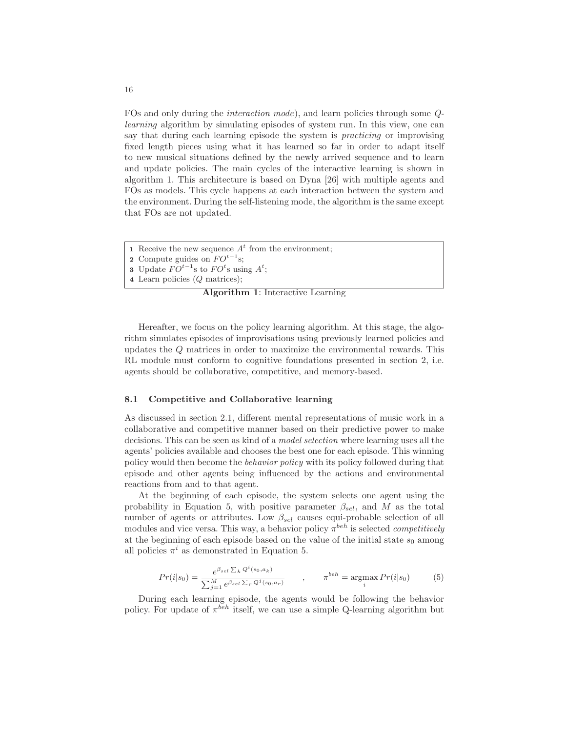FOs and only during the *interaction mode*), and learn policies through some *Qlearning* algorithm by simulating episodes of system run. In this view, one can say that during each learning episode the system is *practicing* or improvising fixed length pieces using what it has learned so far in order to adapt itself to new musical situations defined by the newly arrived sequence and to learn and update policies. The main cycles of the interactive learning is shown in algorithm 1. This architecture is based on Dyna [26] with multiple agents and FOs as models. This cycle happens at each interaction between the system and the environment. During the self-listening mode, the algorithm is the same except that FOs are not updated.

```
1 Receive the new sequence A<sup>t</sup> from the environment;
```

```
2 Compute guides on FO^{t-1}s;
```
**3** Update  $FO^{t-1}$ s to  $FO^t$ s using  $A^t$ ;

**4** Learn policies (Q matrices);

**Algorithm 1**: Interactive Learning

Hereafter, we focus on the policy learning algorithm. At this stage, the algorithm simulates episodes of improvisations using previously learned policies and updates the Q matrices in order to maximize the environmental rewards. This RL module must conform to cognitive foundations presented in section 2, i.e. agents should be collaborative, competitive, and memory-based.

#### **8.1 Competitive and Collaborative learning**

As discussed in section 2.1, different mental representations of music work in a collaborative and competitive manner based on their predictive power to make decisions. This can be seen as kind of a *model selection* where learning uses all the agents' policies available and chooses the best one for each episode. This winning policy would then become the *behavior policy* with its policy followed during that episode and other agents being influenced by the actions and environmental reactions from and to that agent.

At the beginning of each episode, the system selects one agent using the probability in Equation 5, with positive parameter  $\beta_{sel}$ , and M as the total number of agents or attributes. Low  $\beta_{sel}$  causes equi-probable selection of all modules and vice versa. This way, a behavior policy  $\pi^{beh}$  is selected *competitively* at the beginning of each episode based on the value of the initial state  $s_0$  among all policies  $\pi^{i}$  as demonstrated in Equation 5.

$$
Pr(i|s_0) = \frac{e^{\beta_{sel} \sum_k Q^i(s_0, a_k)}}{\sum_{j=1}^M e^{\beta_{sel} \sum_r Q^j(s_0, a_r)}} , \qquad \pi^{beh} = \underset{i}{\text{argmax}} Pr(i|s_0)
$$
(5)

During each learning episode, the agents would be following the behavior policy. For update of  $\pi^{beh}$  itself, we can use a simple Q-learning algorithm but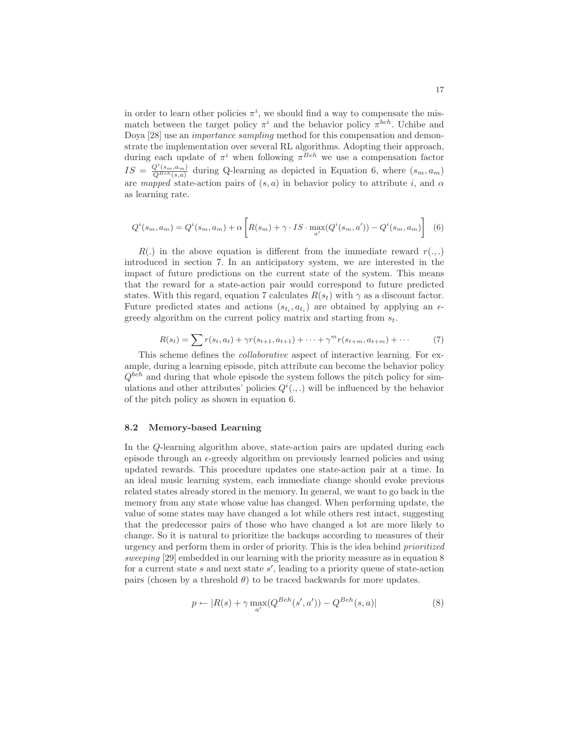in order to learn other policies  $\pi^i$ , we should find a way to compensate the mismatch between the target policy  $\pi^{i}$  and the behavior policy  $\pi^{beh}$ . Uchibe and Doya [28] use an *importance sampling* method for this compensation and demonstrate the implementation over several RL algorithms. Adopting their approach, during each update of  $\pi^{i}$  when following  $\pi^{Beh}$  we use a compensation factor  $IS = \frac{Q^i(s_m, a_m)}{Q^{Beh}(s, a)}$  during Q-learning as depicted in Equation 6, where  $(s_m, a_m)$ are *mapped* state-action pairs of  $(s, a)$  in behavior policy to attribute i, and  $\alpha$ as learning rate.

$$
Q^{i}(s_{m}, a_{m}) = Q^{i}(s_{m}, a_{m}) + \alpha \left[ R(s_{m}) + \gamma \cdot IS \cdot \max_{a'} (Q^{i}(s_{m}, a')) - Q^{i}(s_{m}, a_{m}) \right] \tag{6}
$$

 $R(.)$  in the above equation is different from the immediate reward  $r(.,.)$ introduced in section 7. In an anticipatory system, we are interested in the impact of future predictions on the current state of the system. This means that the reward for a state-action pair would correspond to future predicted states. With this regard, equation 7 calculates  $R(s_t)$  with  $\gamma$  as a discount factor. Future predicted states and actions  $(s_t, a_t)$  are obtained by applying an  $\epsilon$ greedy algorithm on the current policy matrix and starting from  $s_t$ .

$$
R(s_t) = \sum r(s_t, a_t) + \gamma r(s_{t+1}, a_{t+1}) + \dots + \gamma^m r(s_{t+m}, a_{t+m}) + \dots \tag{7}
$$

This scheme defines the *collaborative* aspect of interactive learning. For example, during a learning episode, pitch attribute can become the behavior policy  $Q^{beh}$  and during that whole episode the system follows the pitch policy for simulations and other attributes' policies  $Q^i(.,.)$  will be influenced by the behavior of the pitch policy as shown in equation 6.

## **8.2 Memory-based Learning**

In the Q-learning algorithm above, state-action pairs are updated during each episode through an  $\epsilon$ -greedy algorithm on previously learned policies and using updated rewards. This procedure updates one state-action pair at a time. In an ideal music learning system, each immediate change should evoke previous related states already stored in the memory. In general, we want to go back in the memory from any state whose value has changed. When performing update, the value of some states may have changed a lot while others rest intact, suggesting that the predecessor pairs of those who have changed a lot are more likely to change. So it is natural to prioritize the backups according to measures of their urgency and perform them in order of priority. This is the idea behind *prioritized sweeping* [29] embedded in our learning with the priority measure as in equation 8 for a current state s and next state s', leading to a priority queue of state-action pairs (chosen by a threshold  $\theta$ ) to be traced backwards for more updates.

$$
p \leftarrow |R(s) + \gamma \max_{a'} (Q^{Beh}(s', a')) - Q^{Beh}(s, a)| \tag{8}
$$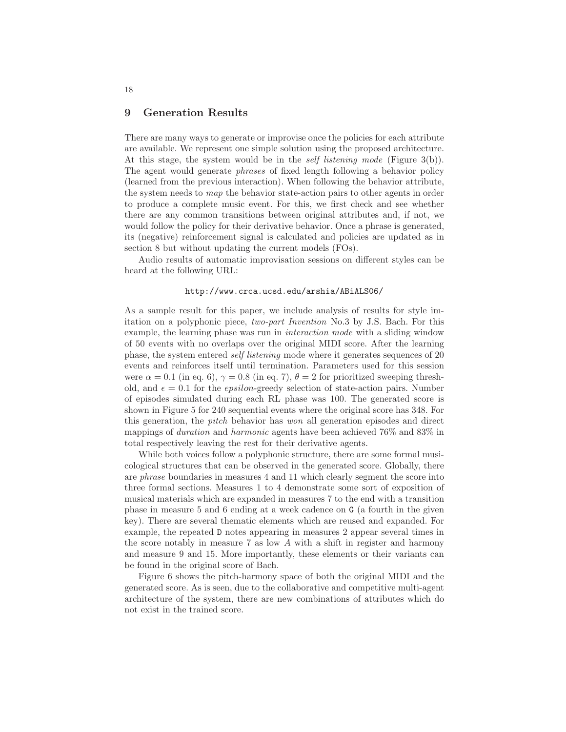# **9 Generation Results**

There are many ways to generate or improvise once the policies for each attribute are available. We represent one simple solution using the proposed architecture. At this stage, the system would be in the *self listening mode* (Figure 3(b)). The agent would generate *phrases* of fixed length following a behavior policy (learned from the previous interaction). When following the behavior attribute, the system needs to *map* the behavior state-action pairs to other agents in order to produce a complete music event. For this, we first check and see whether there are any common transitions between original attributes and, if not, we would follow the policy for their derivative behavior. Once a phrase is generated, its (negative) reinforcement signal is calculated and policies are updated as in section 8 but without updating the current models (FOs).

Audio results of automatic improvisation sessions on different styles can be heard at the following URL:

#### http://www.crca.ucsd.edu/arshia/ABiALS06/

As a sample result for this paper, we include analysis of results for style imitation on a polyphonic piece, *two-part Invention* No.3 by J.S. Bach. For this example, the learning phase was run in *interaction mode* with a sliding window of 50 events with no overlaps over the original MIDI score. After the learning phase, the system entered *self listening* mode where it generates sequences of 20 events and reinforces itself until termination. Parameters used for this session were  $\alpha = 0.1$  (in eq. 6),  $\gamma = 0.8$  (in eq. 7),  $\theta = 2$  for prioritized sweeping threshold, and  $\epsilon = 0.1$  for the *epsilon*-greedy selection of state-action pairs. Number of episodes simulated during each RL phase was 100. The generated score is shown in Figure 5 for 240 sequential events where the original score has 348. For this generation, the *pitch* behavior has *won* all generation episodes and direct mappings of *duration* and *harmonic* agents have been achieved 76% and 83% in total respectively leaving the rest for their derivative agents.

While both voices follow a polyphonic structure, there are some formal musicological structures that can be observed in the generated score. Globally, there are *phrase* boundaries in measures 4 and 11 which clearly segment the score into three formal sections. Measures 1 to 4 demonstrate some sort of exposition of musical materials which are expanded in measures 7 to the end with a transition phase in measure 5 and 6 ending at a week cadence on G (a fourth in the given key). There are several thematic elements which are reused and expanded. For example, the repeated D notes appearing in measures 2 appear several times in the score notably in measure  $7$  as low  $\ddot{A}$  with a shift in register and harmony and measure 9 and 15. More importantly, these elements or their variants can be found in the original score of Bach.

Figure 6 shows the pitch-harmony space of both the original MIDI and the generated score. As is seen, due to the collaborative and competitive multi-agent architecture of the system, there are new combinations of attributes which do not exist in the trained score.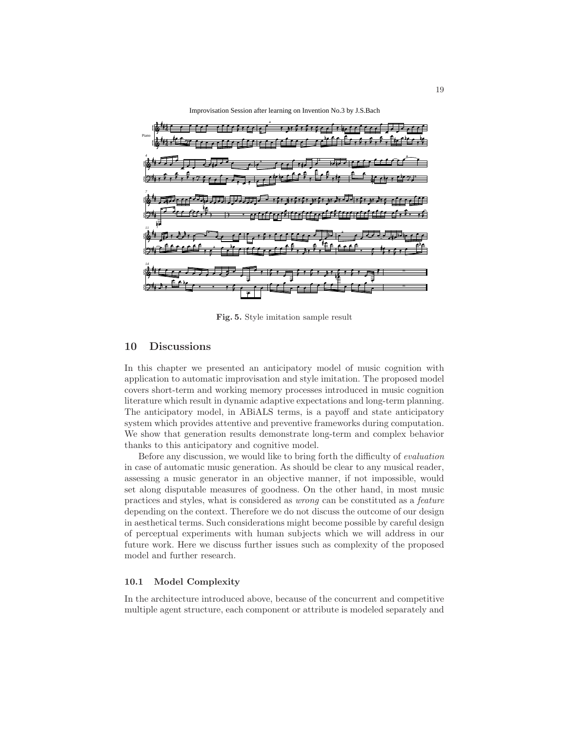Improvisation Session after learning on Invention No.3 by J.S.Bach



**Fig. 5.** Style imitation sample result

## **10 Discussions**

In this chapter we presented an anticipatory model of music cognition with application to automatic improvisation and style imitation. The proposed model covers short-term and working memory processes introduced in music cognition literature which result in dynamic adaptive expectations and long-term planning. The anticipatory model, in ABiALS terms, is a payoff and state anticipatory system which provides attentive and preventive frameworks during computation. We show that generation results demonstrate long-term and complex behavior thanks to this anticipatory and cognitive model.

Before any discussion, we would like to bring forth the difficulty of *evaluation* in case of automatic music generation. As should be clear to any musical reader, assessing a music generator in an objective manner, if not impossible, would set along disputable measures of goodness. On the other hand, in most music practices and styles, what is considered as *wrong* can be constituted as a *feature* depending on the context. Therefore we do not discuss the outcome of our design in aesthetical terms. Such considerations might become possible by careful design of perceptual experiments with human subjects which we will address in our future work. Here we discuss further issues such as complexity of the proposed model and further research.

#### **10.1 Model Complexity**

In the architecture introduced above, because of the concurrent and competitive multiple agent structure, each component or attribute is modeled separately and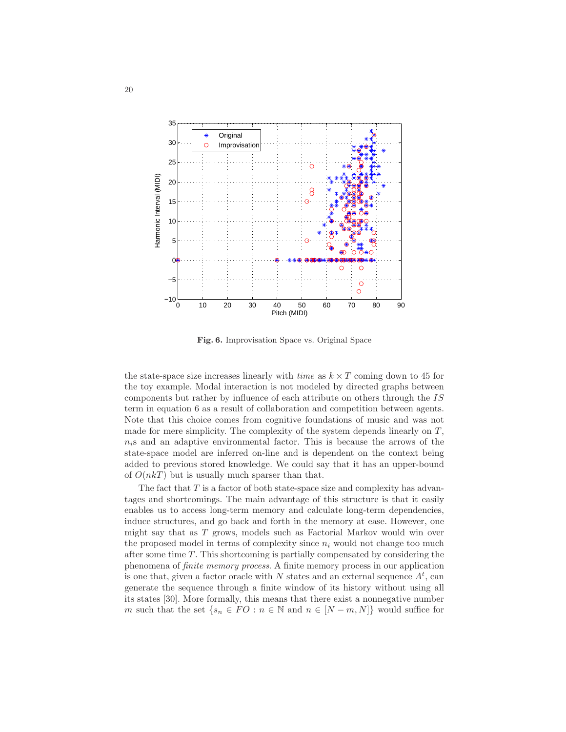

**Fig. 6.** Improvisation Space vs. Original Space

the state-space size increases linearly with *time* as  $k \times T$  coming down to 45 for the toy example. Modal interaction is not modeled by directed graphs between components but rather by influence of each attribute on others through the IS term in equation 6 as a result of collaboration and competition between agents. Note that this choice comes from cognitive foundations of music and was not made for mere simplicity. The complexity of the system depends linearly on  $T$ ,  $n_i$ s and an adaptive environmental factor. This is because the arrows of the state-space model are inferred on-line and is dependent on the context being added to previous stored knowledge. We could say that it has an upper-bound of  $O(nkT)$  but is usually much sparser than that.

The fact that  $T$  is a factor of both state-space size and complexity has advantages and shortcomings. The main advantage of this structure is that it easily enables us to access long-term memory and calculate long-term dependencies, induce structures, and go back and forth in the memory at ease. However, one might say that as  $T$  grows, models such as Factorial Markov would win over the proposed model in terms of complexity since  $n_i$  would not change too much after some time T. This shortcoming is partially compensated by considering the phenomena of *finite memory process*. A finite memory process in our application is one that, given a factor oracle with N states and an external sequence  $A<sup>t</sup>$ , can generate the sequence through a finite window of its history without using all its states [30]. More formally, this means that there exist a nonnegative number m such that the set  $\{s_n \in FO : n \in \mathbb{N} \text{ and } n \in [N-m, N]\}$  would suffice for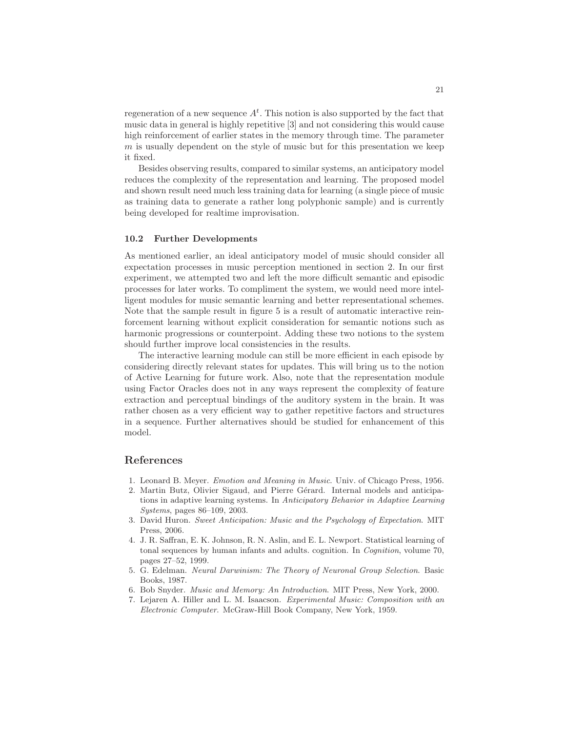regeneration of a new sequence  $A<sup>t</sup>$ . This notion is also supported by the fact that music data in general is highly repetitive [3] and not considering this would cause high reinforcement of earlier states in the memory through time. The parameter  $m$  is usually dependent on the style of music but for this presentation we keep it fixed.

Besides observing results, compared to similar systems, an anticipatory model reduces the complexity of the representation and learning. The proposed model and shown result need much less training data for learning (a single piece of music as training data to generate a rather long polyphonic sample) and is currently being developed for realtime improvisation.

#### **10.2 Further Developments**

As mentioned earlier, an ideal anticipatory model of music should consider all expectation processes in music perception mentioned in section 2. In our first experiment, we attempted two and left the more difficult semantic and episodic processes for later works. To compliment the system, we would need more intelligent modules for music semantic learning and better representational schemes. Note that the sample result in figure 5 is a result of automatic interactive reinforcement learning without explicit consideration for semantic notions such as harmonic progressions or counterpoint. Adding these two notions to the system should further improve local consistencies in the results.

The interactive learning module can still be more efficient in each episode by considering directly relevant states for updates. This will bring us to the notion of Active Learning for future work. Also, note that the representation module using Factor Oracles does not in any ways represent the complexity of feature extraction and perceptual bindings of the auditory system in the brain. It was rather chosen as a very efficient way to gather repetitive factors and structures in a sequence. Further alternatives should be studied for enhancement of this model.

## **References**

- 1. Leonard B. Meyer. Emotion and Meaning in Music. Univ. of Chicago Press, 1956.
- 2. Martin Butz, Olivier Sigaud, and Pierre Gérard. Internal models and anticipations in adaptive learning systems. In Anticipatory Behavior in Adaptive Learning Systems, pages 86–109, 2003.
- 3. David Huron. Sweet Anticipation: Music and the Psychology of Expectation. MIT Press, 2006.
- 4. J. R. Saffran, E. K. Johnson, R. N. Aslin, and E. L. Newport. Statistical learning of tonal sequences by human infants and adults. cognition. In Cognition, volume 70, pages 27–52, 1999.
- 5. G. Edelman. Neural Darwinism: The Theory of Neuronal Group Selection. Basic Books, 1987.
- 6. Bob Snyder. Music and Memory: An Introduction. MIT Press, New York, 2000.
- 7. Lejaren A. Hiller and L. M. Isaacson. Experimental Music: Composition with an Electronic Computer. McGraw-Hill Book Company, New York, 1959.